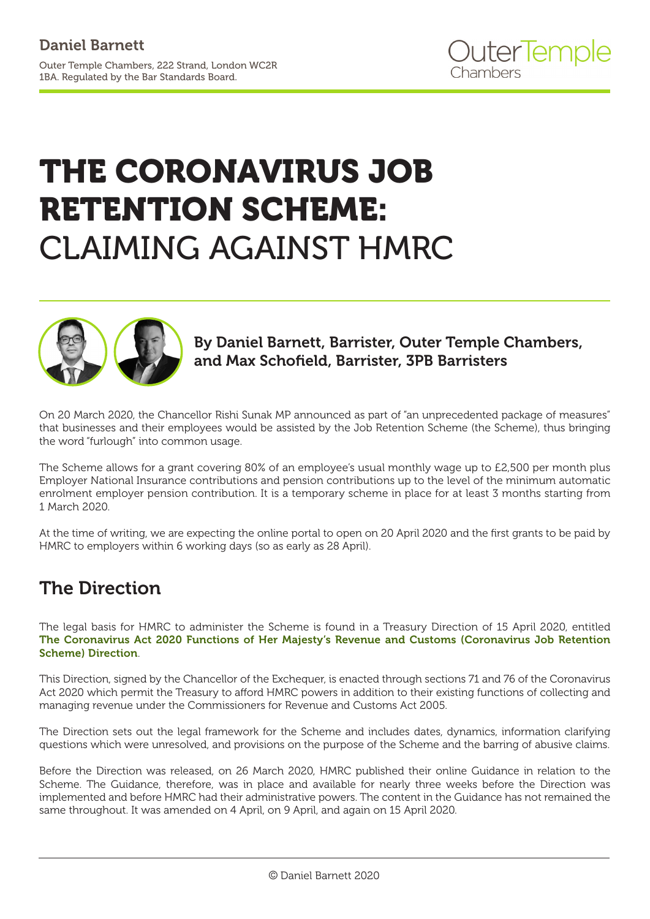# THE CORONAVIRUS JOB RETENTION SCHEME: CLAIMING AGAINST HMRC



By Daniel Barnett, Barrister, Outer Temple Chambers, and Max Schofield, Barrister, 3PB Barristers

On 20 March 2020, the Chancellor Rishi Sunak MP announced as part of "an unprecedented package of measures" that businesses and their employees would be assisted by the Job Retention Scheme (the Scheme), thus bringing the word "furlough" into common usage.

The Scheme allows for a grant covering 80% of an employee's usual monthly wage up to £2,500 per month plus Employer National Insurance contributions and pension contributions up to the level of the minimum automatic enrolment employer pension contribution. It is a temporary scheme in place for at least 3 months starting from 1 March 2020.

At the time of writing, we are expecting the online portal to open on 20 April 2020 and the first grants to be paid by HMRC to employers within 6 working days (so as early as 28 April).

### The Direction

The legal basis for HMRC to administer the Scheme is found in a Treasury Direction of 15 April 2020, entitled [The Coronavirus Act 2020 Functions of Her Majesty's Revenue and Customs \(Coronavirus Job Retention](https://assets.publishing.service.gov.uk/government/uploads/system/uploads/attachment_data/file/879484/200414_CJRS_DIRECTION_-_33_FINAL_Signed.pdf) [Scheme\) Direction](https://assets.publishing.service.gov.uk/government/uploads/system/uploads/attachment_data/file/879484/200414_CJRS_DIRECTION_-_33_FINAL_Signed.pdf).

This Direction, signed by the Chancellor of the Exchequer, is enacted through sections 71 and 76 of the Coronavirus Act 2020 which permit the Treasury to afford HMRC powers in addition to their existing functions of collecting and managing revenue under the Commissioners for Revenue and Customs Act 2005.

The Direction sets out the legal framework for the Scheme and includes dates, dynamics, information clarifying questions which were unresolved, and provisions on the purpose of the Scheme and the barring of abusive claims.

Before the Direction was released, on 26 March 2020, HMRC published their online Guidance in relation to the Scheme. The Guidance, therefore, was in place and available for nearly three weeks before the Direction was implemented and before HMRC had their administrative powers. The content in the Guidance has not remained the same throughout. It was amended on 4 April, on 9 April, and again on 15 April 2020.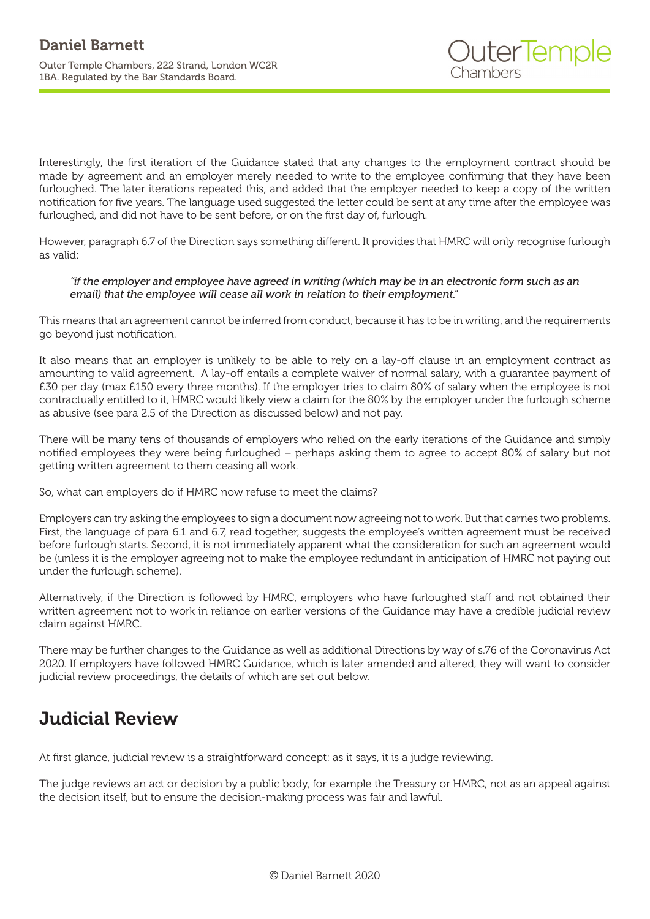Interestingly, the first iteration of the Guidance stated that any changes to the employment contract should be made by agreement and an employer merely needed to write to the employee confirming that they have been furloughed. The later iterations repeated this, and added that the employer needed to keep a copy of the written notification for five years. The language used suggested the letter could be sent at any time after the employee was furloughed, and did not have to be sent before, or on the first day of, furlough.

However, paragraph 6.7 of the Direction says something different. It provides that HMRC will only recognise furlough as valid:

#### *"if the employer and employee have agreed in writing (which may be in an electronic form such as an email) that the employee will cease all work in relation to their employment."*

This means that an agreement cannot be inferred from conduct, because it has to be in writing, and the requirements go beyond just notification.

It also means that an employer is unlikely to be able to rely on a lay-off clause in an employment contract as amounting to valid agreement. A lay-off entails a complete waiver of normal salary, with a guarantee payment of £30 per day (max £150 every three months). If the employer tries to claim 80% of salary when the employee is not contractually entitled to it, HMRC would likely view a claim for the 80% by the employer under the furlough scheme as abusive (see para 2.5 of the Direction as discussed below) and not pay.

There will be many tens of thousands of employers who relied on the early iterations of the Guidance and simply notified employees they were being furloughed – perhaps asking them to agree to accept 80% of salary but not getting written agreement to them ceasing all work.

So, what can employers do if HMRC now refuse to meet the claims?

Employers can try asking the employees to sign a document now agreeing not to work. But that carries two problems. First, the language of para 6.1 and 6.7, read together, suggests the employee's written agreement must be received before furlough starts. Second, it is not immediately apparent what the consideration for such an agreement would be (unless it is the employer agreeing not to make the employee redundant in anticipation of HMRC not paying out under the furlough scheme).

Alternatively, if the Direction is followed by HMRC, employers who have furloughed staff and not obtained their written agreement not to work in reliance on earlier versions of the Guidance may have a credible judicial review claim against HMRC.

There may be further changes to the Guidance as well as additional Directions by way of s.76 of the Coronavirus Act 2020. If employers have followed HMRC Guidance, which is later amended and altered, they will want to consider judicial review proceedings, the details of which are set out below.

#### Judicial Review

At first glance, judicial review is a straightforward concept: as it says, it is a judge reviewing.

The judge reviews an act or decision by a public body, for example the Treasury or HMRC, not as an appeal against the decision itself, but to ensure the decision-making process was fair and lawful.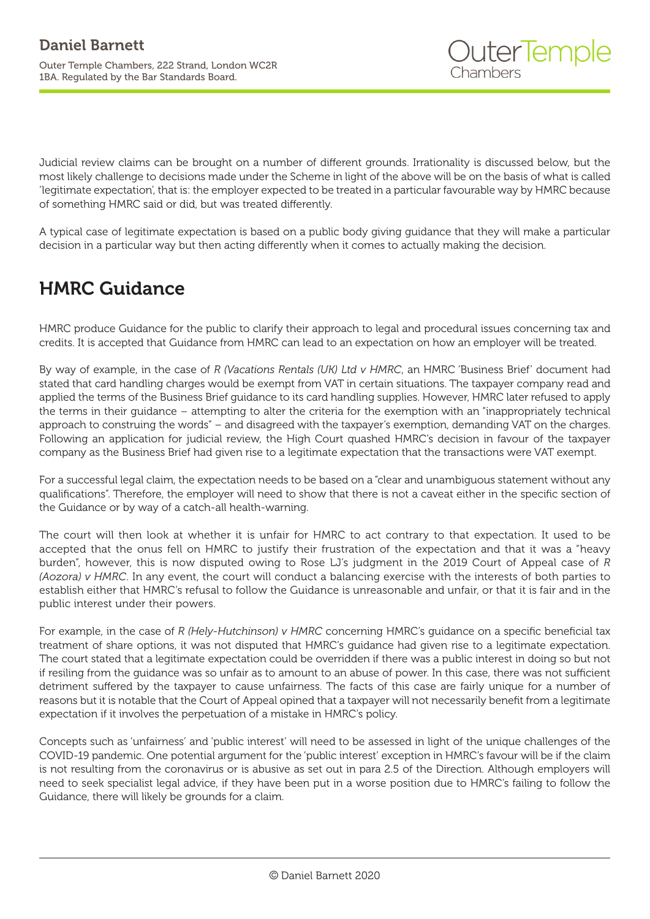Judicial review claims can be brought on a number of different grounds. Irrationality is discussed below, but the most likely challenge to decisions made under the Scheme in light of the above will be on the basis of what is called 'legitimate expectation', that is: the employer expected to be treated in a particular favourable way by HMRC because of something HMRC said or did, but was treated differently.

A typical case of legitimate expectation is based on a public body giving guidance that they will make a particular decision in a particular way but then acting differently when it comes to actually making the decision.

#### HMRC Guidance

HMRC produce Guidance for the public to clarify their approach to legal and procedural issues concerning tax and credits. It is accepted that Guidance from HMRC can lead to an expectation on how an employer will be treated.

By way of example, in the case of *R (Vacations Rentals (UK) Ltd v HMRC*, an HMRC 'Business Brief' document had stated that card handling charges would be exempt from VAT in certain situations. The taxpayer company read and applied the terms of the Business Brief guidance to its card handling supplies. However, HMRC later refused to apply the terms in their guidance – attempting to alter the criteria for the exemption with an "inappropriately technical approach to construing the words" – and disagreed with the taxpayer's exemption, demanding VAT on the charges. Following an application for judicial review, the High Court quashed HMRC's decision in favour of the taxpayer company as the Business Brief had given rise to a legitimate expectation that the transactions were VAT exempt.

For a successful legal claim, the expectation needs to be based on a "clear and unambiguous statement without any qualifications". Therefore, the employer will need to show that there is not a caveat either in the specific section of the Guidance or by way of a catch-all health-warning.

The court will then look at whether it is unfair for HMRC to act contrary to that expectation. It used to be accepted that the onus fell on HMRC to justify their frustration of the expectation and that it was a "heavy burden", however, this is now disputed owing to Rose LJ's judgment in the 2019 Court of Appeal case of *R (Aozora) v HMRC*. In any event, the court will conduct a balancing exercise with the interests of both parties to establish either that HMRC's refusal to follow the Guidance is unreasonable and unfair, or that it is fair and in the public interest under their powers.

For example, in the case of *R (Hely-Hutchinson) v HMRC* concerning HMRC's guidance on a specific beneficial tax treatment of share options, it was not disputed that HMRC's guidance had given rise to a legitimate expectation. The court stated that a legitimate expectation could be overridden if there was a public interest in doing so but not if resiling from the guidance was so unfair as to amount to an abuse of power. In this case, there was not sufficient detriment suffered by the taxpayer to cause unfairness. The facts of this case are fairly unique for a number of reasons but it is notable that the Court of Appeal opined that a taxpayer will not necessarily benefit from a legitimate expectation if it involves the perpetuation of a mistake in HMRC's policy.

Concepts such as 'unfairness' and 'public interest' will need to be assessed in light of the unique challenges of the COVID-19 pandemic. One potential argument for the 'public interest' exception in HMRC's favour will be if the claim is not resulting from the coronavirus or is abusive as set out in para 2.5 of the Direction. Although employers will need to seek specialist legal advice, if they have been put in a worse position due to HMRC's failing to follow the Guidance, there will likely be grounds for a claim.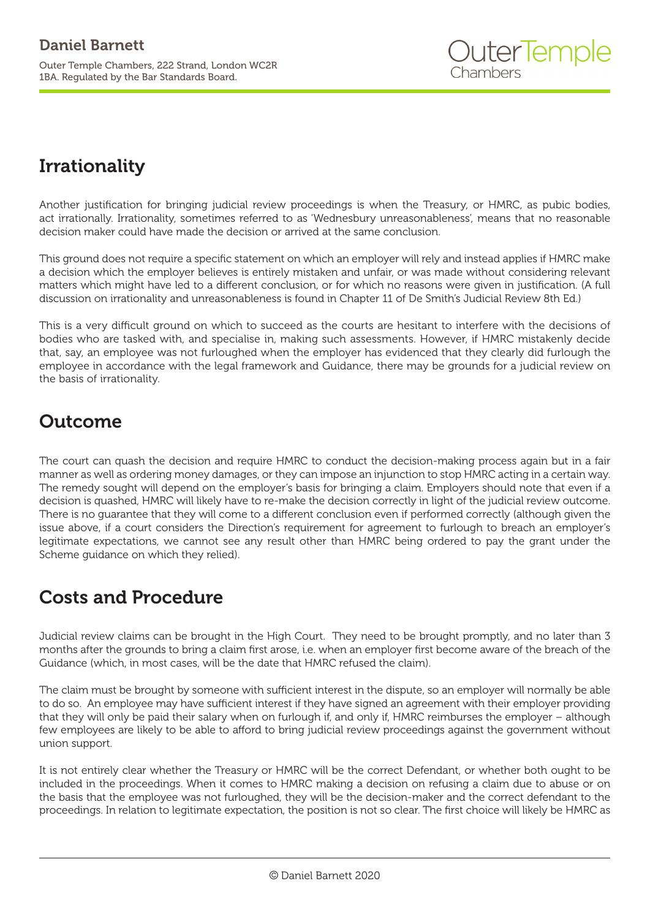# Irrationality

Another justification for bringing judicial review proceedings is when the Treasury, or HMRC, as pubic bodies, act irrationally. Irrationality, sometimes referred to as 'Wednesbury unreasonableness', means that no reasonable decision maker could have made the decision or arrived at the same conclusion.

This ground does not require a specific statement on which an employer will rely and instead applies if HMRC make a decision which the employer believes is entirely mistaken and unfair, or was made without considering relevant matters which might have led to a different conclusion, or for which no reasons were given in justification. (A full discussion on irrationality and unreasonableness is found in Chapter 11 of De Smith's Judicial Review 8th Ed.)

This is a very difficult ground on which to succeed as the courts are hesitant to interfere with the decisions of bodies who are tasked with, and specialise in, making such assessments. However, if HMRC mistakenly decide that, say, an employee was not furloughed when the employer has evidenced that they clearly did furlough the employee in accordance with the legal framework and Guidance, there may be grounds for a judicial review on the basis of irrationality.

### **Outcome**

The court can quash the decision and require HMRC to conduct the decision-making process again but in a fair manner as well as ordering money damages, or they can impose an injunction to stop HMRC acting in a certain way. The remedy sought will depend on the employer's basis for bringing a claim. Employers should note that even if a decision is quashed, HMRC will likely have to re-make the decision correctly in light of the judicial review outcome. There is no guarantee that they will come to a different conclusion even if performed correctly (although given the issue above, if a court considers the Direction's requirement for agreement to furlough to breach an employer's legitimate expectations, we cannot see any result other than HMRC being ordered to pay the grant under the Scheme guidance on which they relied).

# Costs and Procedure

Judicial review claims can be brought in the High Court. They need to be brought promptly, and no later than 3 months after the grounds to bring a claim first arose, i.e. when an employer first become aware of the breach of the Guidance (which, in most cases, will be the date that HMRC refused the claim).

The claim must be brought by someone with sufficient interest in the dispute, so an employer will normally be able to do so. An employee may have sufficient interest if they have signed an agreement with their employer providing that they will only be paid their salary when on furlough if, and only if, HMRC reimburses the employer – although few employees are likely to be able to afford to bring judicial review proceedings against the government without union support.

It is not entirely clear whether the Treasury or HMRC will be the correct Defendant, or whether both ought to be included in the proceedings. When it comes to HMRC making a decision on refusing a claim due to abuse or on the basis that the employee was not furloughed, they will be the decision-maker and the correct defendant to the proceedings. In relation to legitimate expectation, the position is not so clear. The first choice will likely be HMRC as